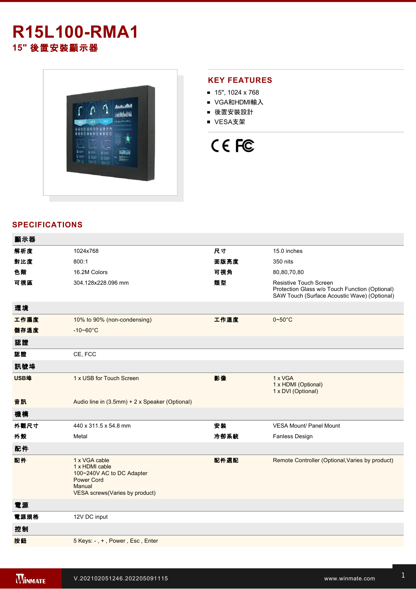# **R15L100-RMA1 15"** 後置安裝顯示器



### **KEY FEATURES**

- $15$ ", 1024 x 768
- VGA和HDMI輸入
- 後置安裝設計
- VESA支架

# CE FC

## **SPECIFICATIONS**

| 顯示器  |                                                                                                                               |      |                                                                                                                                 |
|------|-------------------------------------------------------------------------------------------------------------------------------|------|---------------------------------------------------------------------------------------------------------------------------------|
| 解析度  | 1024x768                                                                                                                      | 尺寸   | 15.0 inches                                                                                                                     |
| 對比度  | 800:1                                                                                                                         | 面版亮度 | 350 nits                                                                                                                        |
| 色階   | 16.2M Colors                                                                                                                  | 可視角  | 80,80,70,80                                                                                                                     |
| 可視區  | 304.128x228.096 mm                                                                                                            | 類型   | <b>Resistive Touch Screen</b><br>Protection Glass w/o Touch Function (Optional)<br>SAW Touch (Surface Acoustic Wave) (Optional) |
| 環境   |                                                                                                                               |      |                                                                                                                                 |
| 工作濕度 | 10% to 90% (non-condensing)                                                                                                   | 工作溫度 | $0 - 50$ °C                                                                                                                     |
| 儲存溫度 | $-10 - 60^{\circ}$ C                                                                                                          |      |                                                                                                                                 |
| 認證   |                                                                                                                               |      |                                                                                                                                 |
| 認證   | CE, FCC                                                                                                                       |      |                                                                                                                                 |
| 訊號埠  |                                                                                                                               |      |                                                                                                                                 |
| USB埠 | 1 x USB for Touch Screen                                                                                                      | 影像   | 1 x VGA<br>1 x HDMI (Optional)<br>1 x DVI (Optional)                                                                            |
| 音訊   | Audio line in (3.5mm) + 2 x Speaker (Optional)                                                                                |      |                                                                                                                                 |
| 機構   |                                                                                                                               |      |                                                                                                                                 |
| 外觀尺寸 | 440 x 311.5 x 54.8 mm                                                                                                         | 安装   | <b>VESA Mount/ Panel Mount</b>                                                                                                  |
| 外殼   | Metal                                                                                                                         | 冷卻系統 | <b>Fanless Design</b>                                                                                                           |
| 配件   |                                                                                                                               |      |                                                                                                                                 |
| 配件   | 1 x VGA cable<br>1 x HDMI cable<br>100~240V AC to DC Adapter<br><b>Power Cord</b><br>Manual<br>VESA screws(Varies by product) | 配件選配 | Remote Controller (Optional, Varies by product)                                                                                 |
| 電源   |                                                                                                                               |      |                                                                                                                                 |
| 電源規格 | 12V DC input                                                                                                                  |      |                                                                                                                                 |
| 控制   |                                                                                                                               |      |                                                                                                                                 |
| 按鈕   | 5 Keys: -, +, Power, Esc, Enter                                                                                               |      |                                                                                                                                 |
|      |                                                                                                                               |      |                                                                                                                                 |

**DIMENSIONS**  UNIT:MM